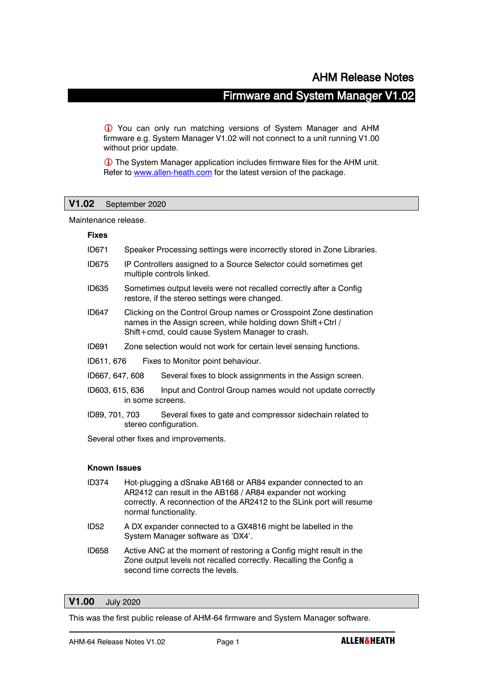## Firmware and System Manager V1.02

 You can only run matching versions of System Manager and AHM firmware e.g. System Manager V1.02 will not connect to a unit running V1.00 without prior update.

 The System Manager application includes firmware files for the AHM unit. Refer to [www.allen-heath.com](http://www.allen-heath.com/) for the latest version of the package.

## **V1.02** September 2020

Maintenance release.

#### **Fixes**

- ID671 Speaker Processing settings were incorrectly stored in Zone Libraries.
- ID675 IP Controllers assigned to a Source Selector could sometimes get multiple controls linked.
- ID635 Sometimes output levels were not recalled correctly after a Config restore, if the stereo settings were changed.
- ID647 Clicking on the Control Group names or Crosspoint Zone destination names in the Assign screen, while holding down Shift+Ctrl / Shift+cmd, could cause System Manager to crash.
- ID691 Zone selection would not work for certain level sensing functions.
- ID611, 676 Fixes to Monitor point behaviour.
- ID667, 647, 608 Several fixes to block assignments in the Assign screen.
- ID603, 615, 636 Input and Control Group names would not update correctly in some screens.
- ID89, 701, 703 Several fixes to gate and compressor sidechain related to stereo configuration.

Several other fixes and improvements.

#### **Known Issues**

- ID374 Hot-plugging a dSnake AB168 or AR84 expander connected to an AR2412 can result in the AB168 / AR84 expander not working correctly. A reconnection of the AR2412 to the SLink port will resume normal functionality.
- ID52 A DX expander connected to a GX4816 might be labelled in the System Manager software as 'DX4'.
- ID658 Active ANC at the moment of restoring a Config might result in the Zone output levels not recalled correctly. Recalling the Config a second time corrects the levels.

## **V1.00** July 2020

This was the first public release of AHM-64 firmware and System Manager software.